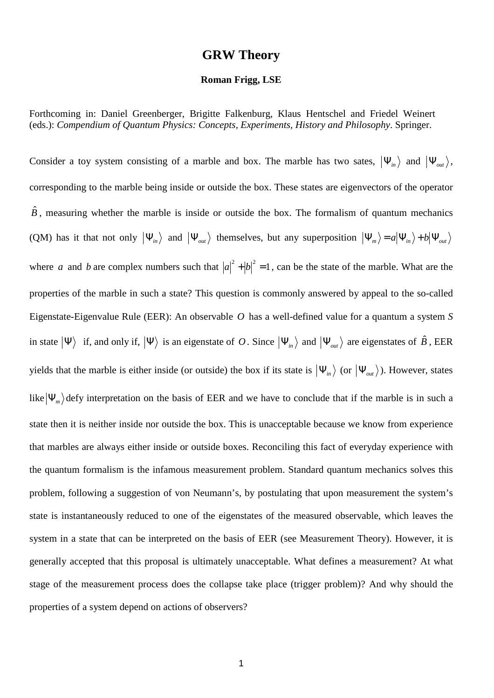## **GRW Theory**

## **Roman Frigg, LSE**

Forthcoming in: Daniel Greenberger, Brigitte Falkenburg, Klaus Hentschel and Friedel Weinert (eds.): *Compendium of Quantum Physics: Concepts, Experiments, History and Philosophy*. Springer.

Consider a toy system consisting of a marble and box. The marble has two sates,  $|\Psi_{in}\rangle$  and  $|\Psi_{out}\rangle$ , corresponding to the marble being inside or outside the box. These states are eigenvectors of the operator  $\hat{B}$ , measuring whether the marble is inside or outside the box. The formalism of quantum mechanics (QM) has it that not only  $|\Psi_{in}\rangle$  and  $|\Psi_{out}\rangle$  themselves, but any superposition  $|\Psi_m\rangle = a|\Psi_{in}\rangle + b|\Psi_{out}\rangle$ where *a* and *b* are complex numbers such that  $|a|^2 + |b|^2 = 1$ , can be the state of the marble. What are the properties of the marble in such a state? This question is commonly answered by appeal to the so-called Eigenstate-Eigenvalue Rule (EER): An observable *O* has a well-defined value for a quantum a system *S* in state  $|\Psi\rangle$  if, and only if,  $|\Psi\rangle$  is an eigenstate of *O*. Since  $|\Psi_{in}\rangle$  and  $|\Psi_{out}\rangle$  are eigenstates of  $\hat{B}$ , EER yields that the marble is either inside (or outside) the box if its state is  $|\Psi_{in}\rangle$  (or  $|\Psi_{out}\rangle$ ). However, states like  $|\Psi_m\rangle$  defy interpretation on the basis of EER and we have to conclude that if the marble is in such a state then it is neither inside nor outside the box. This is unacceptable because we know from experience that marbles are always either inside or outside boxes. Reconciling this fact of everyday experience with the quantum formalism is the infamous measurement problem. Standard quantum mechanics solves this problem, following a suggestion of von Neumann's, by postulating that upon measurement the system's state is instantaneously reduced to one of the eigenstates of the measured observable, which leaves the system in a state that can be interpreted on the basis of EER (see Measurement Theory). However, it is generally accepted that this proposal is ultimately unacceptable. What defines a measurement? At what stage of the measurement process does the collapse take place (trigger problem)? And why should the properties of a system depend on actions of observers?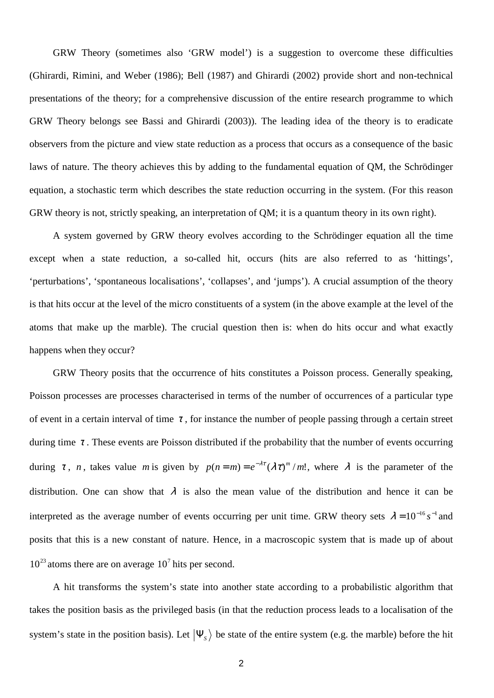GRW Theory (sometimes also 'GRW model') is a suggestion to overcome these difficulties (Ghirardi, Rimini, and Weber (1986); Bell (1987) and Ghirardi (2002) provide short and non-technical presentations of the theory; for a comprehensive discussion of the entire research programme to which GRW Theory belongs see Bassi and Ghirardi (2003)). The leading idea of the theory is to eradicate observers from the picture and view state reduction as a process that occurs as a consequence of the basic laws of nature. The theory achieves this by adding to the fundamental equation of QM, the Schrödinger equation, a stochastic term which describes the state reduction occurring in the system. (For this reason GRW theory is not, strictly speaking, an interpretation of QM; it is a quantum theory in its own right).

A system governed by GRW theory evolves according to the Schrödinger equation all the time except when a state reduction, a so-called hit, occurs (hits are also referred to as 'hittings', 'perturbations', 'spontaneous localisations', 'collapses', and 'jumps'). A crucial assumption of the theory is that hits occur at the level of the micro constituents of a system (in the above example at the level of the atoms that make up the marble). The crucial question then is: when do hits occur and what exactly happens when they occur?

GRW Theory posits that the occurrence of hits constitutes a Poisson process. Generally speaking, Poisson processes are processes characterised in terms of the number of occurrences of a particular type of event in a certain interval of time  $\tau$ , for instance the number of people passing through a certain street during time  $\tau$ . These events are Poisson distributed if the probability that the number of events occurring during  $\tau$ , *n*, takes value *m* is given by  $p(n=m) = e^{-\lambda \tau} (\lambda \tau)^m / m!$ , where  $\lambda$  is the parameter of the distribution. One can show that  $\lambda$  is also the mean value of the distribution and hence it can be interpreted as the average number of events occurring per unit time. GRW theory sets  $\lambda = 10^{-16} s^{-1}$  and posits that this is a new constant of nature. Hence, in a macroscopic system that is made up of about  $10^{23}$  atoms there are on average  $10^7$  hits per second.

A hit transforms the system's state into another state according to a probabilistic algorithm that takes the position basis as the privileged basis (in that the reduction process leads to a localisation of the system's state in the position basis). Let  $|\Psi_s\rangle$  be state of the entire system (e.g. the marble) before the hit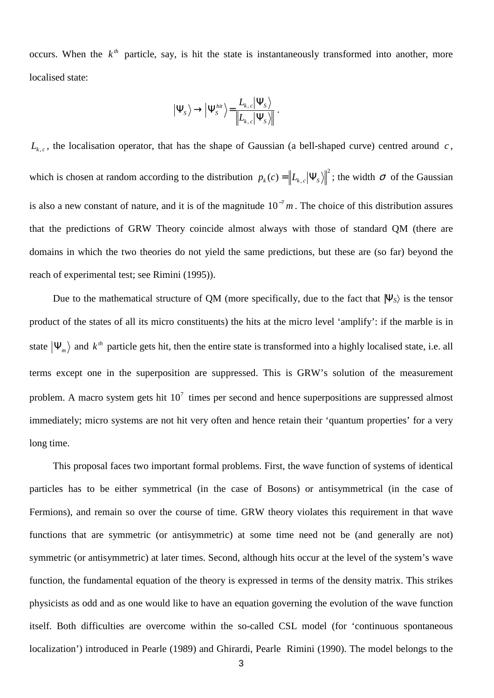occurs. When the  $k^{th}$  particle, say, is hit the state is instantaneously transformed into another, more localised state:

$$
\left|\Psi_{\scriptscriptstyle S}\right>\to\left|\Psi_{\scriptscriptstyle S}^{hit}\right>=\frac{L_{\scriptscriptstyle k,\,\scriptscriptstyle c}\left|\Psi_{\scriptscriptstyle S}\right>}{\left\|L_{\scriptscriptstyle k,\,\scriptscriptstyle c}\left|\Psi_{\scriptscriptstyle S}\right.\right\|\right.}.
$$

 $L_{k,c}$ , the localisation operator, that has the shape of Gaussian (a bell-shaped curve) centred around *c*, which is chosen at random according to the distribution  $p_k(c) = ||L_{k,c}|\Psi_s||^2$  $p_k(c) = |L_{k,c}| \Psi_s \rangle$ ; the width  $\sigma$  of the Gaussian is also a new constant of nature, and it is of the magnitude  $10^{-7}$  m. The choice of this distribution assures that the predictions of GRW Theory coincide almost always with those of standard QM (there are domains in which the two theories do not yield the same predictions, but these are (so far) beyond the reach of experimental test; see Rimini (1995)).

Due to the mathematical structure of QM (more specifically, due to the fact that  $|\Psi_{S}\rangle$  is the tensor product of the states of all its micro constituents) the hits at the micro level 'amplify': if the marble is in state  $|\Psi_m\rangle$  and  $k^h$  particle gets hit, then the entire state is transformed into a highly localised state, i.e. all terms except one in the superposition are suppressed. This is GRW's solution of the measurement problem. A macro system gets hit  $10<sup>7</sup>$  times per second and hence superpositions are suppressed almost immediately; micro systems are not hit very often and hence retain their 'quantum properties' for a very long time.

This proposal faces two important formal problems. First, the wave function of systems of identical particles has to be either symmetrical (in the case of Bosons) or antisymmetrical (in the case of Fermions), and remain so over the course of time. GRW theory violates this requirement in that wave functions that are symmetric (or antisymmetric) at some time need not be (and generally are not) symmetric (or antisymmetric) at later times. Second, although hits occur at the level of the system's wave function, the fundamental equation of the theory is expressed in terms of the density matrix. This strikes physicists as odd and as one would like to have an equation governing the evolution of the wave function itself. Both difficulties are overcome within the so-called CSL model (for 'continuous spontaneous localization') introduced in Pearle (1989) and Ghirardi, Pearle Rimini (1990). The model belongs to the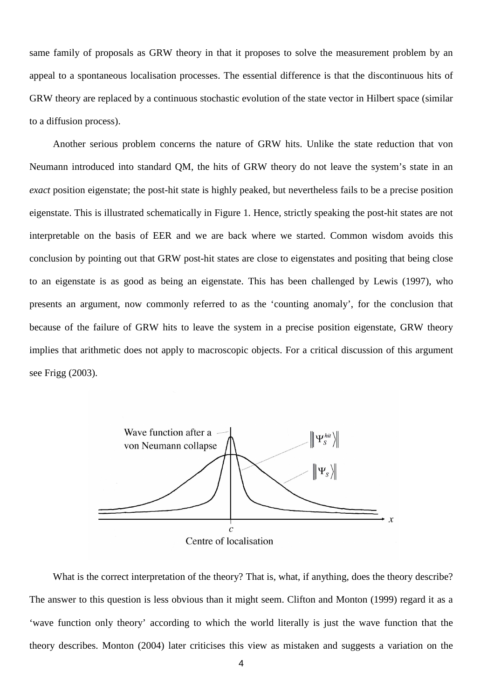same family of proposals as GRW theory in that it proposes to solve the measurement problem by an appeal to a spontaneous localisation processes. The essential difference is that the discontinuous hits of GRW theory are replaced by a continuous stochastic evolution of the state vector in Hilbert space (similar to a diffusion process).

Another serious problem concerns the nature of GRW hits. Unlike the state reduction that von Neumann introduced into standard QM, the hits of GRW theory do not leave the system's state in an *exact* position eigenstate; the post-hit state is highly peaked, but nevertheless fails to be a precise position eigenstate. This is illustrated schematically in Figure 1. Hence, strictly speaking the post-hit states are not interpretable on the basis of EER and we are back where we started. Common wisdom avoids this conclusion by pointing out that GRW post-hit states are close to eigenstates and positing that being close to an eigenstate is as good as being an eigenstate. This has been challenged by Lewis (1997), who presents an argument, now commonly referred to as the 'counting anomaly', for the conclusion that because of the failure of GRW hits to leave the system in a precise position eigenstate, GRW theory implies that arithmetic does not apply to macroscopic objects. For a critical discussion of this argument see Frigg (2003).



What is the correct interpretation of the theory? That is, what, if anything, does the theory describe? The answer to this question is less obvious than it might seem. Clifton and Monton (1999) regard it as a 'wave function only theory' according to which the world literally is just the wave function that the theory describes. Monton (2004) later criticises this view as mistaken and suggests a variation on the